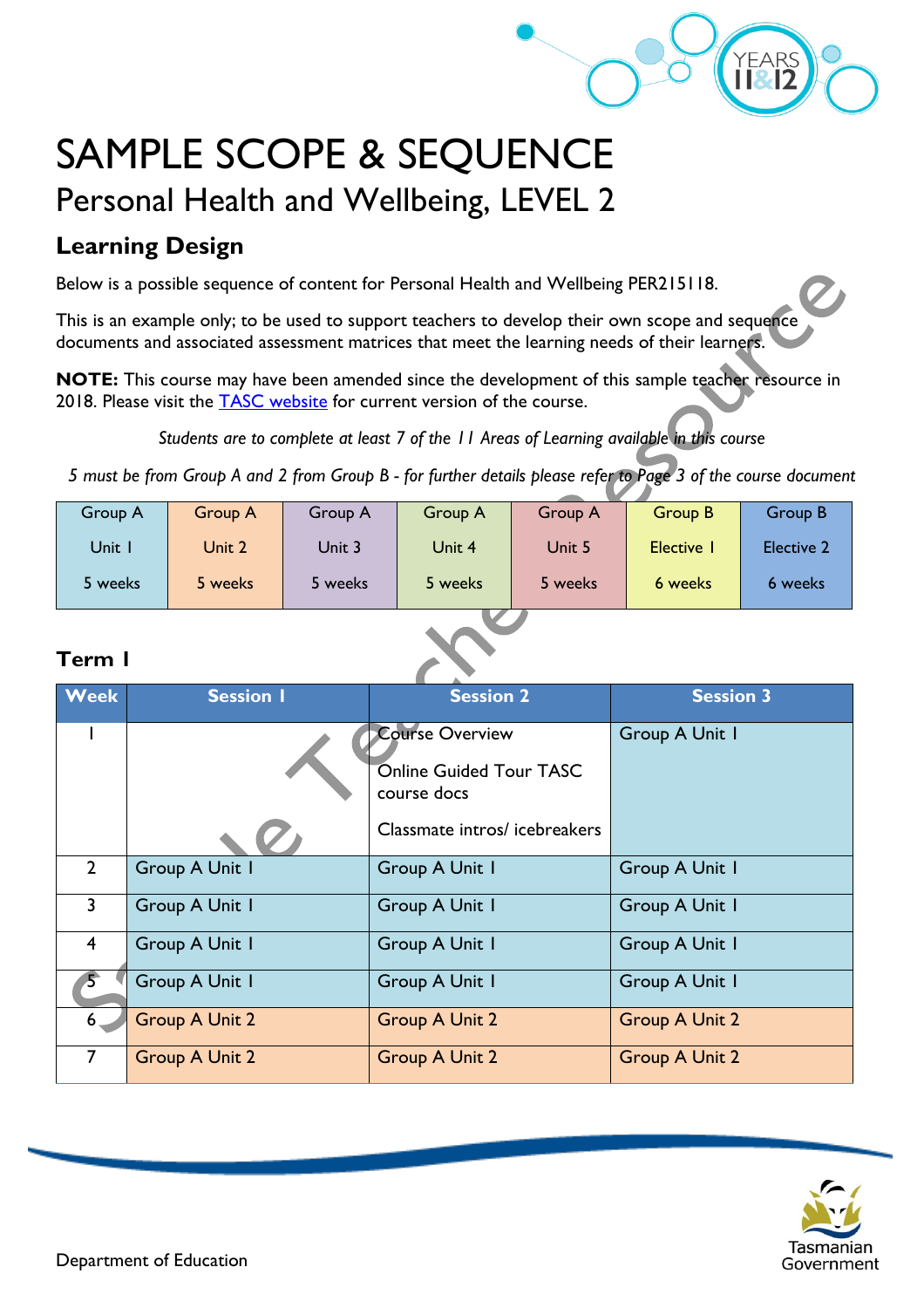

# SAMPLE SCOPE & SEQUENCE Personal Health and Wellbeing, LEVEL 2

### **Learning Design**

Below is a possible sequence of content for Personal Health and Wellbeing PER215118.

This is an example only; to be used to support teachers to develop their own scope and sequence documents and associated assessment matrices that meet the learning needs of their learners.

**NOTE:** This course may have been amended since the development of this sample teacher resource in 2018. Please visit the [TASC website](https://www.tasc.tas.gov.au/students/courses/a-z/) for current version of the course.

*Students are to complete at least 7 of the 11 Areas of Learning available in this course*

*5 must be from Group A and 2 from Group B - for further details please refer to Page 3 of the course document*

| Group A | Group A | Group A | Group A | <b>Group A</b> | Group B  | Group B           |
|---------|---------|---------|---------|----------------|----------|-------------------|
| Unit I  | Unit 2  | Unit 3  | Unit 4  | Unit 5         | Elective | <b>Elective 2</b> |
| 5 weeks | 5 weeks | 5 weeks | 5 weeks | 5 weeks        | 6 weeks  | 6 weeks           |

#### **Term 1**

| <b>Week</b>             | <b>Session I</b>      | <b>Session 2</b>                                                                                 | <b>Session 3</b>      |
|-------------------------|-----------------------|--------------------------------------------------------------------------------------------------|-----------------------|
|                         |                       | <b>Course Overview</b><br>Online Guided Tour TASC<br>course docs<br>Classmate intros/icebreakers | Group A Unit I        |
| $2^{\circ}$             | <b>Group A Unit I</b> | Group A Unit I                                                                                   | Group A Unit I        |
| $\overline{3}$          | <b>Group A Unit I</b> | Group A Unit I                                                                                   | <b>Group A Unit I</b> |
| $\overline{\mathbf{4}}$ | Group A Unit I        | Group A Unit I                                                                                   | Group A Unit I        |
| $5^{\circ}$             | Group A Unit I        | Group A Unit I                                                                                   | Group A Unit I        |
| $6 -$                   | <b>Group A Unit 2</b> | <b>Group A Unit 2</b>                                                                            | <b>Group A Unit 2</b> |
| $\overline{7}$          | <b>Group A Unit 2</b> | <b>Group A Unit 2</b>                                                                            | <b>Group A Unit 2</b> |

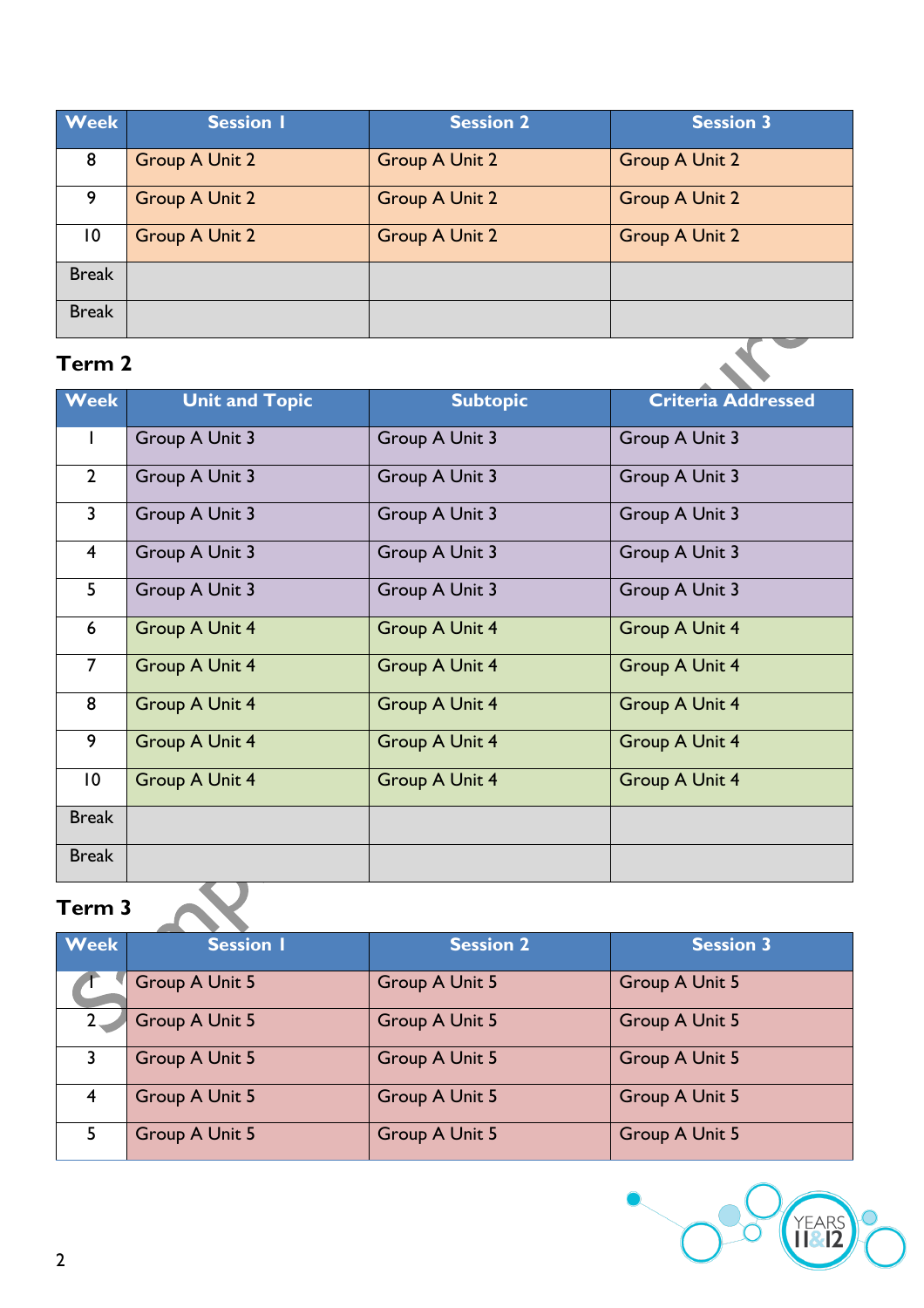| <b>Week</b>     | <b>Session I</b>      | <b>Session 2</b>      | <b>Session 3</b>      |
|-----------------|-----------------------|-----------------------|-----------------------|
| 8               | <b>Group A Unit 2</b> | <b>Group A Unit 2</b> | <b>Group A Unit 2</b> |
| 9               | <b>Group A Unit 2</b> | <b>Group A Unit 2</b> | <b>Group A Unit 2</b> |
| $\overline{10}$ | <b>Group A Unit 2</b> | <b>Group A Unit 2</b> | <b>Group A Unit 2</b> |
| <b>Break</b>    |                       |                       |                       |
| <b>Break</b>    |                       |                       |                       |

### **Term 2**

| <b>Week</b>     | <b>Unit and Topic</b> | <b>Subtopic</b>       | <b>Criteria Addressed</b> |
|-----------------|-----------------------|-----------------------|---------------------------|
| T               | Group A Unit 3        | Group A Unit 3        | Group A Unit 3            |
| $\overline{2}$  | Group A Unit 3        | Group A Unit 3        | Group A Unit 3            |
| $\overline{3}$  | Group A Unit 3        | Group A Unit 3        | Group A Unit 3            |
| $\overline{4}$  | Group A Unit 3        | Group A Unit 3        | Group A Unit 3            |
| 5               | Group A Unit 3        | Group A Unit 3        | Group A Unit 3            |
| $6\phantom{1}6$ | Group A Unit 4        | Group A Unit 4        | Group A Unit 4            |
| $\overline{7}$  | <b>Group A Unit 4</b> | <b>Group A Unit 4</b> | Group A Unit 4            |
| 8               | <b>Group A Unit 4</b> | Group A Unit 4        | Group A Unit 4            |
| 9               | <b>Group A Unit 4</b> | <b>Group A Unit 4</b> | Group A Unit 4            |
| $\overline{10}$ | <b>Group A Unit 4</b> | <b>Group A Unit 4</b> | Group A Unit 4            |
| <b>Break</b>    |                       |                       |                           |
| <b>Break</b>    |                       |                       |                           |

## **Term 3**

| <b>Week</b>    | <b>Session I</b> | <b>Session 2</b>      | <b>Session 3</b> |  |
|----------------|------------------|-----------------------|------------------|--|
|                | Group A Unit 5   | <b>Group A Unit 5</b> | Group A Unit 5   |  |
| $2-$           | Group A Unit 5   | Group A Unit 5        | Group A Unit 5   |  |
| 3              | Group A Unit 5   | <b>Group A Unit 5</b> | Group A Unit 5   |  |
| $\overline{4}$ | Group A Unit 5   | <b>Group A Unit 5</b> | Group A Unit 5   |  |
| 5              | Group A Unit 5   | <b>Group A Unit 5</b> | Group A Unit 5   |  |